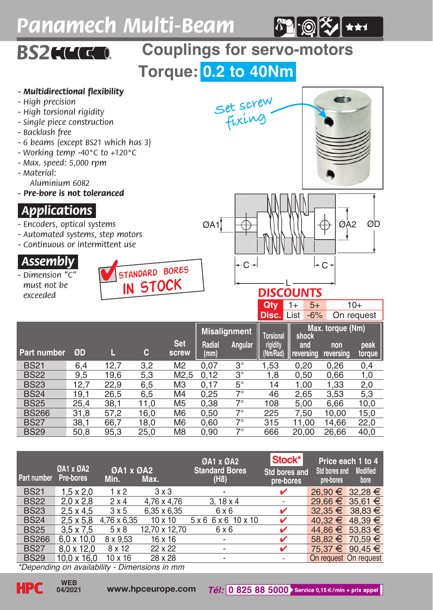## *Panamech Multi-Beam*



nt a



## *.Assembly.*

*- Dimension "C" must not be exceeded*





## *DISCOUNTS* **Qty** 1+ 5+ 10+

|              |      |      |      |                     |                |                     | <b>Disc. List</b>     | $-6%$                     |                  | On request     |
|--------------|------|------|------|---------------------|----------------|---------------------|-----------------------|---------------------------|------------------|----------------|
|              |      |      |      |                     |                | <b>Misalignment</b> | Torsional             | Max. torque (Nm)<br>shock |                  |                |
| Part number  | ØD   | L    | c    | <b>Set</b><br>screw | Radial<br>(mm) | Angular             | rigidity.<br>(Nm/Rad) | and<br>reversina          | non<br>reversing | peak<br>torque |
| <b>BS21</b>  | 6.4  | 12.7 | 3.2  | M <sub>2</sub>      | 0.07           | $3^{\circ}$         | 1.53                  | 0.20                      | 0.26             | 0,4            |
| <b>BS22</b>  | 9.5  | 19,6 | 5,3  | M <sub>2.5</sub>    | 0.12           | $3^{\circ}$         | 1,8                   | 0.50                      | 0.66             | 1,0            |
| <b>BS23</b>  | 12.7 | 22.9 | 6.5  | M <sub>3</sub>      | 0.17           | $5^{\circ}$         | 14                    | 1.00                      | 1.33             | 2,0            |
| <b>BS24</b>  | 19.1 | 26.5 | 6,5  | M <sub>4</sub>      | 0.25           | $7^\circ$           | 46                    | 2,65                      | 3.53             | 5,3            |
| <b>BS25</b>  | 25.4 | 38.1 | 11.0 | M <sub>5</sub>      | 0.38           | $7^{\circ}$         | 108                   | 5.00                      | 6.66             | 10,0           |
| <b>BS266</b> | 31.8 | 57.2 | 16.0 | M <sub>6</sub>      | 0.50           | $7^{\circ}$         | 225                   | 7.50                      | 10.00            | 15,0           |
| <b>BS27</b>  | 38.1 | 66.7 | 18.0 | M <sub>6</sub>      | 0.60           | $7^{\circ}$         | 315                   | 11.00                     | 14.66            | 22,0           |
| <b>BS29</b>  | 50.8 | 95.3 | 25.0 | M <sub>8</sub>      | 0.90           | $7^{\circ}$         | 666                   | 20.00                     | 26.66            | 40,0           |

| Part number       | <b>ØA1 x ØA2</b><br>Pre-bores | <b>ØA1 x ØA2</b><br>Min. | Max.               | <b>ØA1 x ØA2</b><br><b>Standard Bores</b><br>(H8) | Stock*<br><b>Std bores and</b><br>pre-bores | Std bores and<br>pre-bores | Price each 1 to 4<br><b>Modified</b><br>bore |
|-------------------|-------------------------------|--------------------------|--------------------|---------------------------------------------------|---------------------------------------------|----------------------------|----------------------------------------------|
| <b>BS21</b>       | $1.5 \times 2.0$              | 1x2                      | $3 \times 3$       | ٠                                                 | v                                           | 26.90 € 32.28 €            |                                              |
| <b>BS22</b>       | $2.0 \times 2.8$              | 2x4                      | 4.76 x 4.76        | $3.18 \times 4$                                   | ۰                                           | 29.66 € 35.61 €            |                                              |
| <b>BS23</b>       | $2.5 \times 4.5$              | 3x5                      | $6.35 \times 6.35$ | 6x6                                               | ✓                                           | $32.35 \in 38.83 \in$      |                                              |
| <b>BS24</b>       | $2.5 \times 5.8$              | 4.76 x 6.35              | $10 \times 10$     | 5x6 6x6 10x10                                     | v                                           | $40.32 \in 48.39 \in$      |                                              |
| <b>BS25</b>       | $3.5 \times 7.5$              | 5x8                      | 12.70 x 12.70      | 6x6                                               | ✓                                           | 44.86 € 53.83 €            |                                              |
| <b>BS266</b>      | $6.0 \times 10.0$             | 8 x 9.53                 | 16 x 16            | ٠                                                 | v                                           | 58.82 € 70.59 €            |                                              |
| <b>BS27</b>       | $8.0 \times 12.0$             | 8 x 12                   | 22 x 22            | ٠                                                 | v                                           |                            | 75.37 € 90.45 €                              |
| <b>BS29</b>       | $10.0 \times 16.0$            | $10 \times 16$           | 28 x 28            | ۰                                                 |                                             | On request On request      |                                              |
| <b>STATISTICS</b> |                               | $-1$<br>                 |                    |                                                   |                                             |                            |                                              |

*\*Depending on availability - Dimensions in mm*

**04/2021**

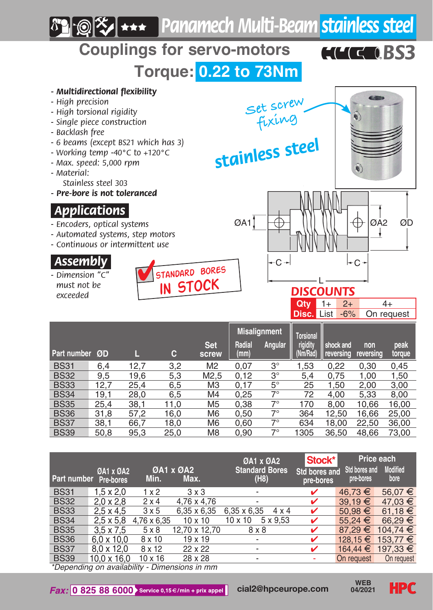

| Part number                                   | 0A1 x 0A2<br>Pre-bores | Min.           | <b>ØA1 x ØA2</b><br>Max. | <b>ØA1 x ØA2</b><br><b>Standard Bores</b><br>(H8) | Stock*<br>Std bores and<br>pre-bores | Std bores and<br>pre-bores | Price each<br><b>Modified</b><br>bore |  |
|-----------------------------------------------|------------------------|----------------|--------------------------|---------------------------------------------------|--------------------------------------|----------------------------|---------------------------------------|--|
| <b>BS31</b>                                   | $1.5 \times 2.0$       | $1 \times 2$   | $3 \times 3$             | ٠                                                 | ✓                                    | 46.73 €                    | 56.07 €                               |  |
| <b>BS32</b>                                   | $2.0 \times 2.8$       | 2x4            | 4.76 x 4.76              | ٠                                                 | ✓                                    | $39,19 \in$                | 47.03 €                               |  |
| <b>BS33</b>                                   | $2.5 \times 4.5$       | 3x5            | 6.35 x 6.35              | 6.35 x 6.35<br>4 x 4                              | ✓                                    | $50,98 \in$                | 61.18 $€$                             |  |
| <b>BS34</b>                                   | $2.5 \times 5.8$       | 4.76 x 6.35    | $10 \times 10$           | 10 x 10<br>5 x 9.53                               | ✓                                    | $55.24 \in$                | 66.29 €                               |  |
| <b>BS35</b>                                   | $3.5 \times 7.5$       | 5x8            | 12.70 x 12.70            | 8 x 8                                             | ✓                                    | 87.29 €                    | $104.74 \in$                          |  |
| <b>BS36</b>                                   | $6.0 \times 10.0$      | 8 x 10         | $19 \times 19$           | ٠                                                 | ✓                                    | 128.15 €                   | 153.77 €                              |  |
| <b>BS37</b>                                   | 8.0 x 12.0             | 8 x 12         | 22 x 22                  | ٠                                                 | ✓                                    | 164,44 €                   | 197.33 €                              |  |
| <b>BS39</b>                                   | 10.0 x 16.0            | $10 \times 16$ | 28 x 28                  | ٠                                                 |                                      | On request                 | On request                            |  |
| *Denending on availability - Dimensions in mm |                        |                |                          |                                                   |                                      |                            |                                       |  |

*\*Depending on availability - Dimensions in mm*

**04/2021**

**HPC**